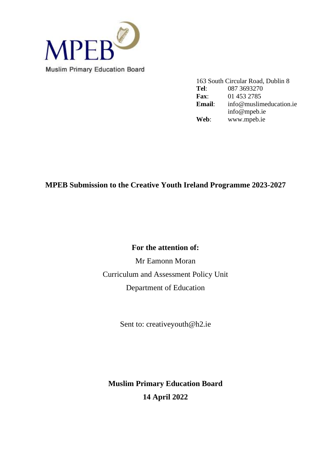

163 South Circular Road, Dublin 8<br>Tel: 087 3693270 **Tel**: 087 3693270 **Fax**: 01 453 2785 **Email**: info@muslimeducation.ie info@mpeb.ie **Web**: www.mpeb.ie

## **MPEB Submission to the Creative Youth Ireland Programme 2023-2027**

## **For the attention of:**

Mr Eamonn Moran Curriculum and Assessment Policy Unit Department of Education

Sent to: creativeyouth@h2.ie

**Muslim Primary Education Board 14 April 2022**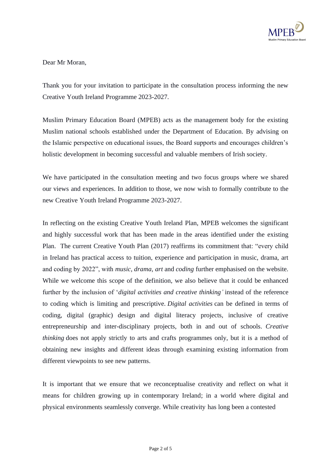

Dear Mr Moran,

Thank you for your invitation to participate in the consultation process informing the new Creative Youth Ireland Programme 2023-2027.

Muslim Primary Education Board (MPEB) acts as the management body for the existing Muslim national schools established under the Department of Education. By advising on the Islamic perspective on educational issues, the Board supports and encourages children's holistic development in becoming successful and valuable members of Irish society.

We have participated in the consultation meeting and two focus groups where we shared our views and experiences. In addition to those, we now wish to formally contribute to the new Creative Youth Ireland Programme 2023-2027.

In reflecting on the existing Creative Youth Ireland Plan, MPEB welcomes the significant and highly successful work that has been made in the areas identified under the existing Plan. The current Creative Youth Plan (2017) reaffirms its commitment that: "every child in Ireland has practical access to tuition, experience and participation in music, drama, art and coding by 2022", with *music*, *drama*, *art* and *coding* further emphasised on the website. While we welcome this scope of the definition, we also believe that it could be enhanced further by the inclusion of '*digital activities and creative thinking'* instead of the reference to coding which is limiting and prescriptive. *Digital activities* can be defined in terms of coding, digital (graphic) design and digital literacy projects, inclusive of creative entrepreneurship and inter-disciplinary projects, both in and out of schools. *Creative thinking* does not apply strictly to arts and crafts programmes only, but it is a method of obtaining new insights and different ideas through examining existing information from different viewpoints to see new patterns.

It is important that we ensure that we reconceptualise creativity and reflect on what it means for children growing up in contemporary Ireland; in a world where digital and physical environments seamlessly converge. While creativity has long been a contested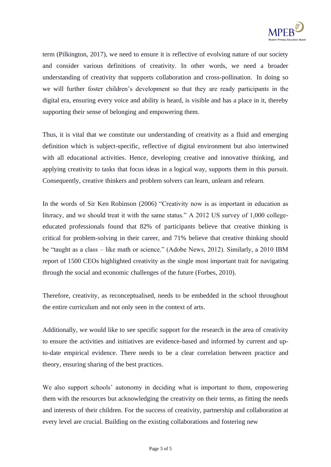

term (Pilkington, 2017), we need to ensure it is reflective of evolving nature of our society and consider various definitions of creativity. In other words, we need a broader understanding of creativity that supports collaboration and cross-pollination. In doing so we will further foster children's development so that they are ready participants in the digital era, ensuring every voice and ability is heard, is visible and has a place in it, thereby supporting their sense of belonging and empowering them.

Thus, it is vital that we constitute our understanding of creativity as a fluid and emerging definition which is subject-specific, reflective of digital environment but also intertwined with all educational activities. Hence, developing creative and innovative thinking, and applying creativity to tasks that focus ideas in a logical way, supports them in this pursuit. Consequently, creative thinkers and problem solvers can learn, unlearn and relearn.

In the words of Sir Ken Robinson (2006) "Creativity now is as important in education as literacy, and we should treat it with the same status." A 2012 US survey of 1,000 collegeeducated professionals found that 82% of participants believe that creative thinking is critical for problem-solving in their career, and 71% believe that creative thinking should be "taught as a class – like math or science." (Adobe News, 2012). Similarly, a 2010 IBM report of 1500 CEOs highlighted creativity as the single most important trait for navigating through the social and economic challenges of the future (Forbes, 2010).

Therefore, creativity, as reconceptualised, needs to be embedded in the school throughout the entire curriculum and not only seen in the context of arts.

Additionally, we would like to see specific support for the research in the area of creativity to ensure the activities and initiatives are evidence-based and informed by current and upto-date empirical evidence. There needs to be a clear correlation between practice and theory, ensuring sharing of the best practices.

We also support schools' autonomy in deciding what is important to them, empowering them with the resources but acknowledging the creativity on their terms, as fitting the needs and interests of their children. For the success of creativity, partnership and collaboration at every level are crucial. Building on the existing collaborations and fostering new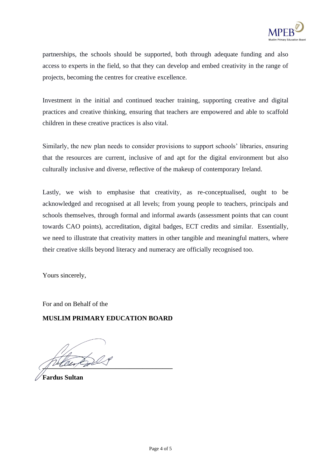

partnerships, the schools should be supported, both through adequate funding and also access to experts in the field, so that they can develop and embed creativity in the range of projects, becoming the centres for creative excellence.

Investment in the initial and continued teacher training, supporting creative and digital practices and creative thinking, ensuring that teachers are empowered and able to scaffold children in these creative practices is also vital.

Similarly, the new plan needs to consider provisions to support schools' libraries, ensuring that the resources are current, inclusive of and apt for the digital environment but also culturally inclusive and diverse, reflective of the makeup of contemporary Ireland.

Lastly, we wish to emphasise that creativity, as re-conceptualised, ought to be acknowledged and recognised at all levels; from young people to teachers, principals and schools themselves, through formal and informal awards (assessment points that can count towards CAO points), accreditation, digital badges, ECT credits and similar. Essentially, we need to illustrate that creativity matters in other tangible and meaningful matters, where their creative skills beyond literacy and numeracy are officially recognised too.

Yours sincerely,

For and on Behalf of the

## **MUSLIM PRIMARY EDUCATION BOARD**

*Lotten for 1* 

**Fardus Sultan**